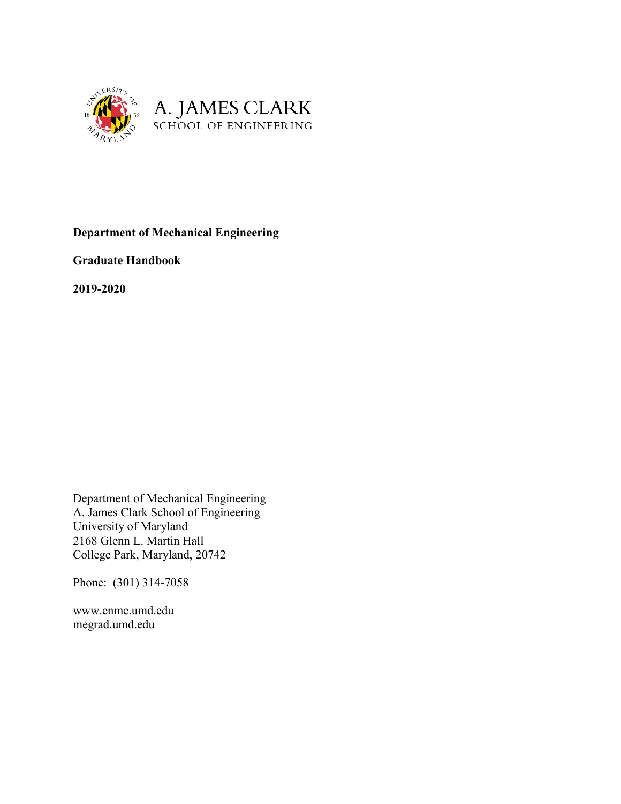

**Department of Mechanical Engineering**

**Graduate Handbook**

**2019-2020**

Department of Mechanical Engineering A. James Clark School of Engineering University of Maryland 2168 Glenn L. Martin Hall College Park, Maryland, 20742

Phone: (301) 314-7058

www.enme.umd.edu megrad.umd.edu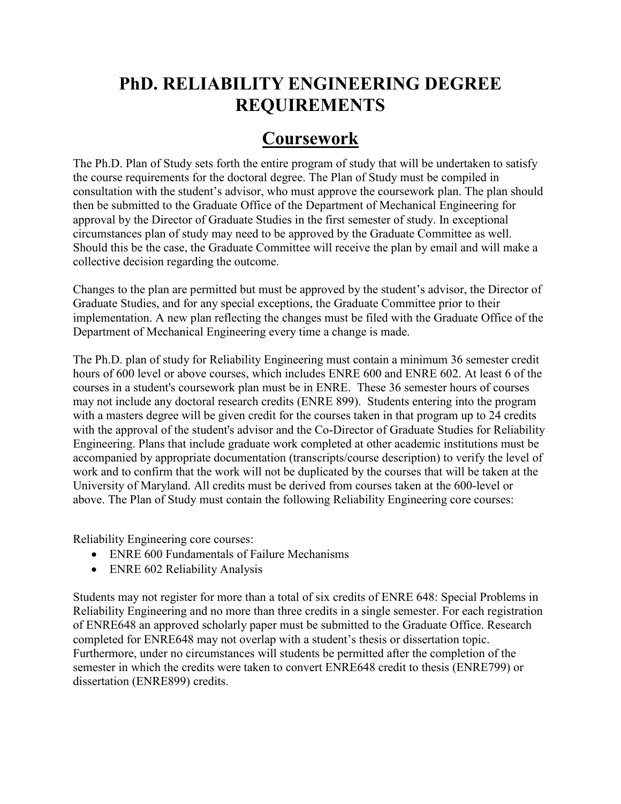## **PhD. RELIABILITY ENGINEERING DEGREE REQUIREMENTS**

#### **Coursework**

The Ph.D. Plan of Study sets forth the entire program of study that will be undertaken to satisfy the course requirements for the doctoral degree. The Plan of Study must be compiled in consultation with the student's advisor, who must approve the coursework plan. The plan should then be submitted to the Graduate Office of the Department of Mechanical Engineering for approval by the Director of Graduate Studies in the first semester of study. In exceptional circumstances plan of study may need to be approved by the Graduate Committee as well. Should this be the case, the Graduate Committee will receive the plan by email and will make a collective decision regarding the outcome.

Changes to the plan are permitted but must be approved by the student's advisor, the Director of Graduate Studies, and for any special exceptions, the Graduate Committee prior to their implementation. A new plan reflecting the changes must be filed with the Graduate Office of the Department of Mechanical Engineering every time a change is made.

The Ph.D. plan of study for Reliability Engineering must contain a minimum 36 semester credit hours of 600 level or above courses, which includes ENRE 600 and ENRE 602. At least 6 of the courses in a student's coursework plan must be in ENRE. These 36 semester hours of courses may not include any doctoral research credits (ENRE 899). Students entering into the program with a masters degree will be given credit for the courses taken in that program up to 24 credits with the approval of the student's advisor and the Co-Director of Graduate Studies for Reliability Engineering. Plans that include graduate work completed at other academic institutions must be accompanied by appropriate documentation (transcripts/course description) to verify the level of work and to confirm that the work will not be duplicated by the courses that will be taken at the University of Maryland. All credits must be derived from courses taken at the 600-level or above. The Plan of Study must contain the following Reliability Engineering core courses:

Reliability Engineering core courses:

- ENRE 600 Fundamentals of Failure Mechanisms
- ENRE 602 Reliability Analysis

Students may not register for more than a total of six credits of ENRE 648: Special Problems in Reliability Engineering and no more than three credits in a single semester. For each registration of ENRE648 an approved scholarly paper must be submitted to the Graduate Office. Research completed for ENRE648 may not overlap with a student's thesis or dissertation topic. Furthermore, under no circumstances will students be permitted after the completion of the semester in which the credits were taken to convert ENRE648 credit to thesis (ENRE799) or dissertation (ENRE899) credits.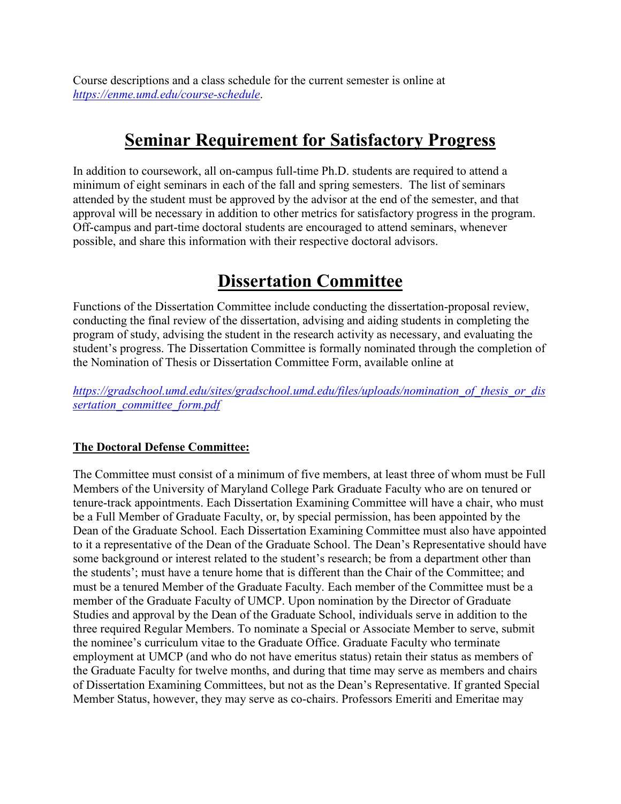Course descriptions and a class schedule for the current semester is online at *<https://enme.umd.edu/course-schedule>*.

#### **Seminar Requirement for Satisfactory Progress**

In addition to coursework, all on-campus full-time Ph.D. students are required to attend a minimum of eight seminars in each of the fall and spring semesters. The list of seminars attended by the student must be approved by the advisor at the end of the semester, and that approval will be necessary in addition to other metrics for satisfactory progress in the program. Off-campus and part-time doctoral students are encouraged to attend seminars, whenever possible, and share this information with their respective doctoral advisors.

#### **Dissertation Committee**

Functions of the Dissertation Committee include conducting the dissertation-proposal review, conducting the final review of the dissertation, advising and aiding students in completing the program of study, advising the student in the research activity as necessary, and evaluating the student's progress. The Dissertation Committee is formally nominated through the completion of the Nomination of Thesis or Dissertation Committee Form, available online at

*[https://gradschool.umd.edu/sites/gradschool.umd.edu/files/uploads/nomination\\_of\\_thesis\\_or\\_dis](https://gradschool.umd.edu/sites/gradschool.umd.edu/files/uploads/nomination_of_thesis_or_dissertation_committee_form.pdf) [sertation\\_committee\\_form.pdf](https://gradschool.umd.edu/sites/gradschool.umd.edu/files/uploads/nomination_of_thesis_or_dissertation_committee_form.pdf)*

#### **The Doctoral Defense Committee:**

The Committee must consist of a minimum of five members, at least three of whom must be Full Members of the University of Maryland College Park Graduate Faculty who are on tenured or tenure-track appointments. Each Dissertation Examining Committee will have a chair, who must be a Full Member of Graduate Faculty, or, by special permission, has been appointed by the Dean of the Graduate School. Each Dissertation Examining Committee must also have appointed to it a representative of the Dean of the Graduate School. The Dean's Representative should have some background or interest related to the student's research; be from a department other than the students'; must have a tenure home that is different than the Chair of the Committee; and must be a tenured Member of the Graduate Faculty. Each member of the Committee must be a member of the Graduate Faculty of UMCP. Upon nomination by the Director of Graduate Studies and approval by the Dean of the Graduate School, individuals serve in addition to the three required Regular Members. To nominate a Special or Associate Member to serve, submit the nominee's curriculum vitae to the Graduate Office. Graduate Faculty who terminate employment at UMCP (and who do not have emeritus status) retain their status as members of the Graduate Faculty for twelve months, and during that time may serve as members and chairs of Dissertation Examining Committees, but not as the Dean's Representative. If granted Special Member Status, however, they may serve as co-chairs. Professors Emeriti and Emeritae may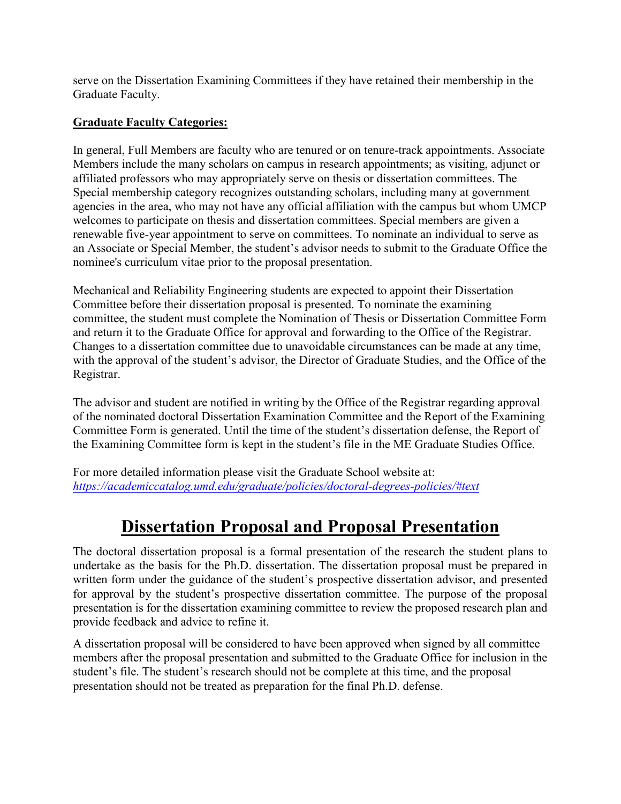serve on the Dissertation Examining Committees if they have retained their membership in the Graduate Faculty.

#### **Graduate Faculty Categories:**

In general, Full Members are faculty who are tenured or on tenure-track appointments. Associate Members include the many scholars on campus in research appointments; as visiting, adjunct or affiliated professors who may appropriately serve on thesis or dissertation committees. The Special membership category recognizes outstanding scholars, including many at government agencies in the area, who may not have any official affiliation with the campus but whom UMCP welcomes to participate on thesis and dissertation committees. Special members are given a renewable five-year appointment to serve on committees. To nominate an individual to serve as an Associate or Special Member, the student's advisor needs to submit to the Graduate Office the nominee's curriculum vitae prior to the proposal presentation.

Mechanical and Reliability Engineering students are expected to appoint their Dissertation Committee before their dissertation proposal is presented. To nominate the examining committee, the student must complete the Nomination of Thesis or Dissertation Committee Form and return it to the Graduate Office for approval and forwarding to the Office of the Registrar. Changes to a dissertation committee due to unavoidable circumstances can be made at any time, with the approval of the student's advisor, the Director of Graduate Studies, and the Office of the Registrar.

The advisor and student are notified in writing by the Office of the Registrar regarding approval of the nominated doctoral Dissertation Examination Committee and the Report of the Examining Committee Form is generated. Until the time of the student's dissertation defense, the Report of the Examining Committee form is kept in the student's file in the ME Graduate Studies Office.

For more detailed information please visit the Graduate School website at: *<https://academiccatalog.umd.edu/graduate/policies/doctoral-degrees-policies/#text>*

#### **Dissertation Proposal and Proposal Presentation**

The doctoral dissertation proposal is a formal presentation of the research the student plans to undertake as the basis for the Ph.D. dissertation. The dissertation proposal must be prepared in written form under the guidance of the student's prospective dissertation advisor, and presented for approval by the student's prospective dissertation committee. The purpose of the proposal presentation is for the dissertation examining committee to review the proposed research plan and provide feedback and advice to refine it.

A dissertation proposal will be considered to have been approved when signed by all committee members after the proposal presentation and submitted to the Graduate Office for inclusion in the student's file. The student's research should not be complete at this time, and the proposal presentation should not be treated as preparation for the final Ph.D. defense.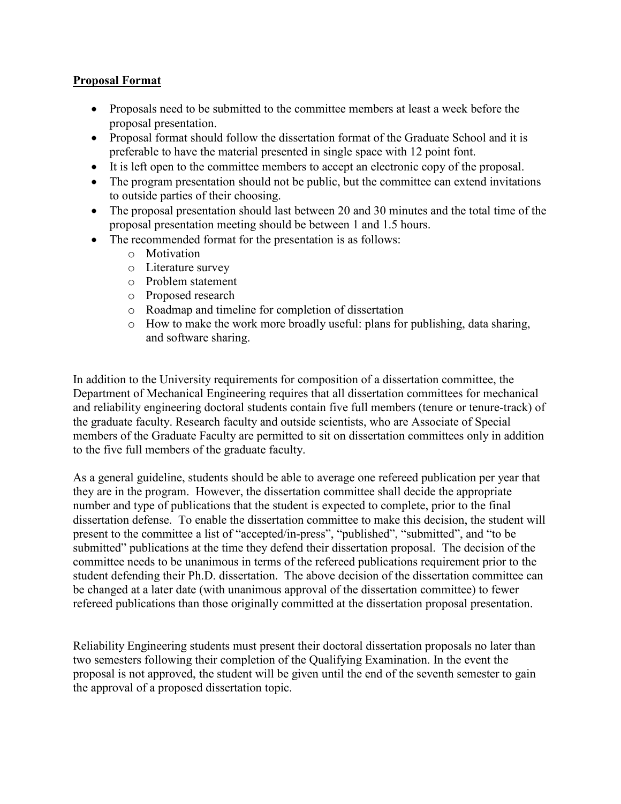#### **Proposal Format**

- Proposals need to be submitted to the committee members at least a week before the proposal presentation.
- Proposal format should follow the dissertation format of the Graduate School and it is preferable to have the material presented in single space with 12 point font.
- It is left open to the committee members to accept an electronic copy of the proposal.
- The program presentation should not be public, but the committee can extend invitations to outside parties of their choosing.
- The proposal presentation should last between 20 and 30 minutes and the total time of the proposal presentation meeting should be between 1 and 1.5 hours.
- The recommended format for the presentation is as follows:
	- o Motivation
	- o Literature survey
	- o Problem statement
	- o Proposed research
	- o Roadmap and timeline for completion of dissertation
	- o How to make the work more broadly useful: plans for publishing, data sharing, and software sharing.

In addition to the University requirements for composition of a dissertation committee, the Department of Mechanical Engineering requires that all dissertation committees for mechanical and reliability engineering doctoral students contain five full members (tenure or tenure-track) of the graduate faculty. Research faculty and outside scientists, who are Associate of Special members of the Graduate Faculty are permitted to sit on dissertation committees only in addition to the five full members of the graduate faculty.

As a general guideline, students should be able to average one refereed publication per year that they are in the program. However, the dissertation committee shall decide the appropriate number and type of publications that the student is expected to complete, prior to the final dissertation defense. To enable the dissertation committee to make this decision, the student will present to the committee a list of "accepted/in-press", "published", "submitted", and "to be submitted" publications at the time they defend their dissertation proposal. The decision of the committee needs to be unanimous in terms of the refereed publications requirement prior to the student defending their Ph.D. dissertation. The above decision of the dissertation committee can be changed at a later date (with unanimous approval of the dissertation committee) to fewer refereed publications than those originally committed at the dissertation proposal presentation.

Reliability Engineering students must present their doctoral dissertation proposals no later than two semesters following their completion of the Qualifying Examination. In the event the proposal is not approved, the student will be given until the end of the seventh semester to gain the approval of a proposed dissertation topic.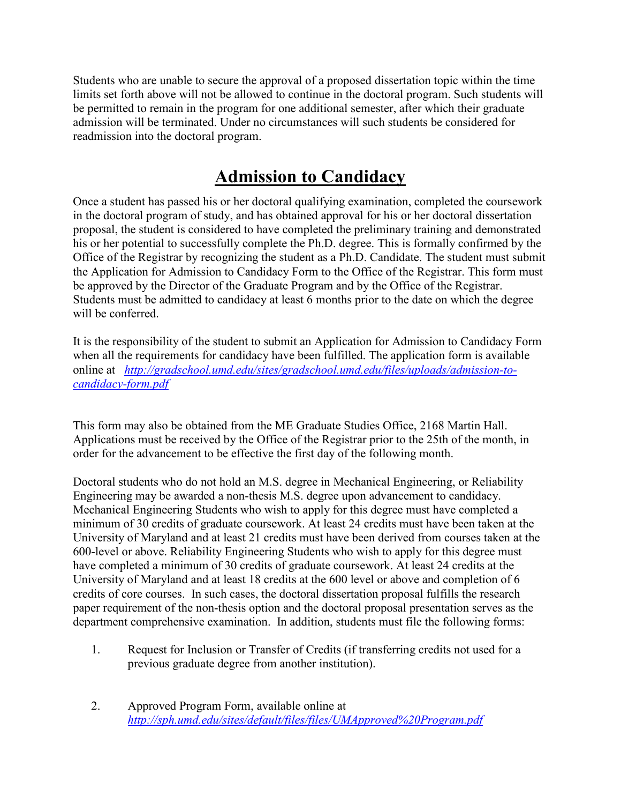Students who are unable to secure the approval of a proposed dissertation topic within the time limits set forth above will not be allowed to continue in the doctoral program. Such students will be permitted to remain in the program for one additional semester, after which their graduate admission will be terminated. Under no circumstances will such students be considered for readmission into the doctoral program.

# **Admission to Candidacy**

Once a student has passed his or her doctoral qualifying examination, completed the coursework in the doctoral program of study, and has obtained approval for his or her doctoral dissertation proposal, the student is considered to have completed the preliminary training and demonstrated his or her potential to successfully complete the Ph.D. degree. This is formally confirmed by the Office of the Registrar by recognizing the student as a Ph.D. Candidate. The student must submit the Application for Admission to Candidacy Form to the Office of the Registrar. This form must be approved by the Director of the Graduate Program and by the Office of the Registrar. Students must be admitted to candidacy at least 6 months prior to the date on which the degree will be conferred.

It is the responsibility of the student to submit an Application for Admission to Candidacy Form when all the requirements for candidacy have been fulfilled. The application form is available online at *[http://gradschool.umd.edu/sites/gradschool.umd.edu/files/uploads/admission-to](http://gradschool.umd.edu/sites/gradschool.umd.edu/files/uploads/admission-to-candidacy-form.pdf)[candidacy-form.pdf](http://gradschool.umd.edu/sites/gradschool.umd.edu/files/uploads/admission-to-candidacy-form.pdf)*

This form may also be obtained from the ME Graduate Studies Office, 2168 Martin Hall. Applications must be received by the Office of the Registrar prior to the 25th of the month, in order for the advancement to be effective the first day of the following month.

Doctoral students who do not hold an M.S. degree in Mechanical Engineering, or Reliability Engineering may be awarded a non-thesis M.S. degree upon advancement to candidacy. Mechanical Engineering Students who wish to apply for this degree must have completed a minimum of 30 credits of graduate coursework. At least 24 credits must have been taken at the University of Maryland and at least 21 credits must have been derived from courses taken at the 600-level or above. Reliability Engineering Students who wish to apply for this degree must have completed a minimum of 30 credits of graduate coursework. At least 24 credits at the University of Maryland and at least 18 credits at the 600 level or above and completion of 6 credits of core courses. In such cases, the doctoral dissertation proposal fulfills the research paper requirement of the non-thesis option and the doctoral proposal presentation serves as the department comprehensive examination. In addition, students must file the following forms:

- 1. Request for Inclusion or Transfer of Credits (if transferring credits not used for a previous graduate degree from another institution).
- 2. Approved Program Form, available online at *<http://sph.umd.edu/sites/default/files/files/UMApproved%20Program.pdf>*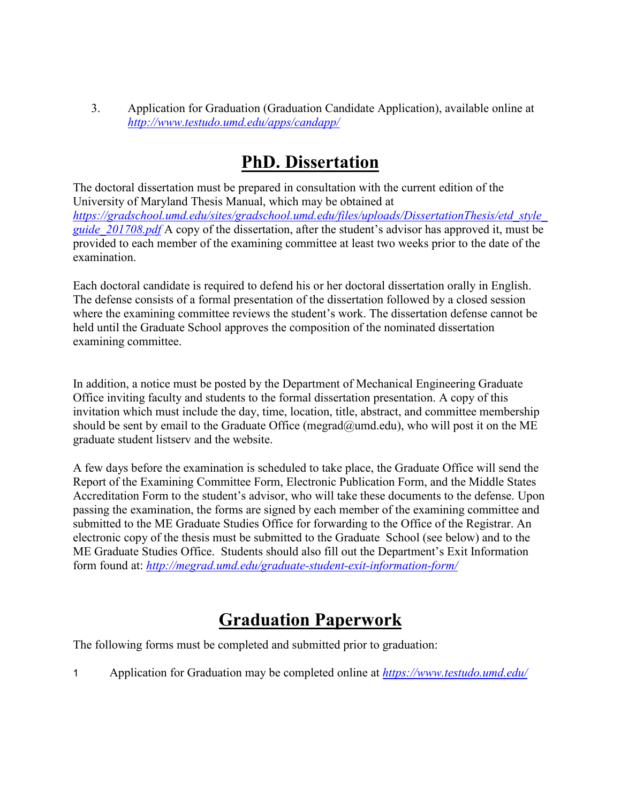3. Application for Graduation (Graduation Candidate Application), available online at *<http://www.testudo.umd.edu/apps/candapp/>*

#### **PhD. Dissertation**

The doctoral dissertation must be prepared in consultation with the current edition of the University of Maryland Thesis Manual, which may be obtained at *[https://gradschool.umd.edu/sites/gradschool.umd.edu/files/uploads/DissertationThesis/etd\\_style\\_](https://gradschool.umd.edu/sites/gradschool.umd.edu/files/uploads/DissertationThesis/etd_style_guide_201708.pdf) [guide\\_201708.pdf](https://gradschool.umd.edu/sites/gradschool.umd.edu/files/uploads/DissertationThesis/etd_style_guide_201708.pdf)* A copy of the dissertation, after the student's advisor has approved it, must be provided to each member of the examining committee at least two weeks prior to the date of the examination.

Each doctoral candidate is required to defend his or her doctoral dissertation orally in English. The defense consists of a formal presentation of the dissertation followed by a closed session where the examining committee reviews the student's work. The dissertation defense cannot be held until the Graduate School approves the composition of the nominated dissertation examining committee.

In addition, a notice must be posted by the Department of Mechanical Engineering Graduate Office inviting faculty and students to the formal dissertation presentation. A copy of this invitation which must include the day, time, location, title, abstract, and committee membership should be sent by email to the Graduate Office (megrad@umd.edu), who will post it on the ME graduate student listserv and the website.

A few days before the examination is scheduled to take place, the Graduate Office will send the Report of the Examining Committee Form, Electronic Publication Form, and the Middle States Accreditation Form to the student's advisor, who will take these documents to the defense. Upon passing the examination, the forms are signed by each member of the examining committee and submitted to the ME Graduate Studies Office for forwarding to the Office of the Registrar. An electronic copy of the thesis must be submitted to the Graduate School (see below) and to the ME Graduate Studies Office. Students should also fill out the Department's Exit Information form found at: *<http://megrad.umd.edu/graduate-student-exit-information-form/>*

#### **Graduation Paperwork**

The following forms must be completed and submitted prior to graduation:

1 Application for Graduation may be completed online at *<https://www.testudo.umd.edu/>*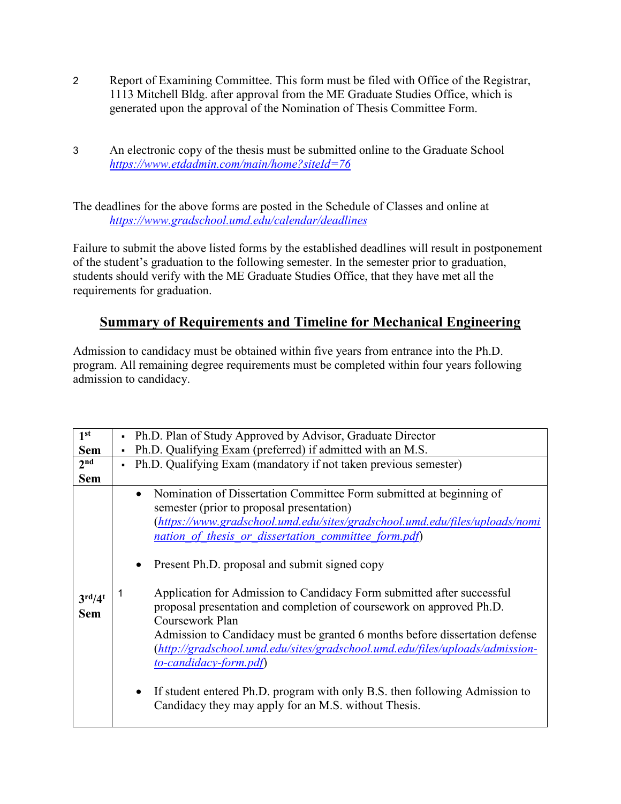- 2 Report of Examining Committee. This form must be filed with Office of the Registrar, 1113 Mitchell Bldg. after approval from the ME Graduate Studies Office, which is generated upon the approval of the Nomination of Thesis Committee Form.
- 3 An electronic copy of the thesis must be submitted online to the Graduate School *<https://www.etdadmin.com/main/home?siteId=76>*

The deadlines for the above forms are posted in the Schedule of Classes and online at *<https://www.gradschool.umd.edu/calendar/deadlines>*

Failure to submit the above listed forms by the established deadlines will result in postponement of the student's graduation to the following semester. In the semester prior to graduation, students should verify with the ME Graduate Studies Office, that they have met all the requirements for graduation.

#### **Summary of Requirements and Timeline for Mechanical Engineering**

Admission to candidacy must be obtained within five years from entrance into the Ph.D. program. All remaining degree requirements must be completed within four years following admission to candidacy.

| 1 <sup>st</sup>                            | • Ph.D. Plan of Study Approved by Advisor, Graduate Director                                                                                                                                                                                                                                                                                                                                                                                                                                                                                                                                                                                                                                                                                                                                                                            |  |  |
|--------------------------------------------|-----------------------------------------------------------------------------------------------------------------------------------------------------------------------------------------------------------------------------------------------------------------------------------------------------------------------------------------------------------------------------------------------------------------------------------------------------------------------------------------------------------------------------------------------------------------------------------------------------------------------------------------------------------------------------------------------------------------------------------------------------------------------------------------------------------------------------------------|--|--|
| <b>Sem</b>                                 | Ph.D. Qualifying Exam (preferred) if admitted with an M.S.                                                                                                                                                                                                                                                                                                                                                                                                                                                                                                                                                                                                                                                                                                                                                                              |  |  |
| 2 <sub>nd</sub>                            | Ph.D. Qualifying Exam (mandatory if not taken previous semester)                                                                                                                                                                                                                                                                                                                                                                                                                                                                                                                                                                                                                                                                                                                                                                        |  |  |
| <b>Sem</b>                                 |                                                                                                                                                                                                                                                                                                                                                                                                                                                                                                                                                                                                                                                                                                                                                                                                                                         |  |  |
| $3^{\text{rd}}/4^{\text{t}}$<br><b>Sem</b> | Nomination of Dissertation Committee Form submitted at beginning of<br>$\bullet$<br>semester (prior to proposal presentation)<br>(https://www.gradschool.umd.edu/sites/gradschool.umd.edu/files/uploads/nomi<br>nation of thesis or dissertation committee form.pdf)<br>Present Ph.D. proposal and submit signed copy<br>Application for Admission to Candidacy Form submitted after successful<br>proposal presentation and completion of coursework on approved Ph.D.<br>Coursework Plan<br>Admission to Candidacy must be granted 6 months before dissertation defense<br>(http://gradschool.umd.edu/sites/gradschool.umd.edu/files/uploads/admission-<br>to-candidacy-form.pdf)<br>If student entered Ph.D. program with only B.S. then following Admission to<br>$\bullet$<br>Candidacy they may apply for an M.S. without Thesis. |  |  |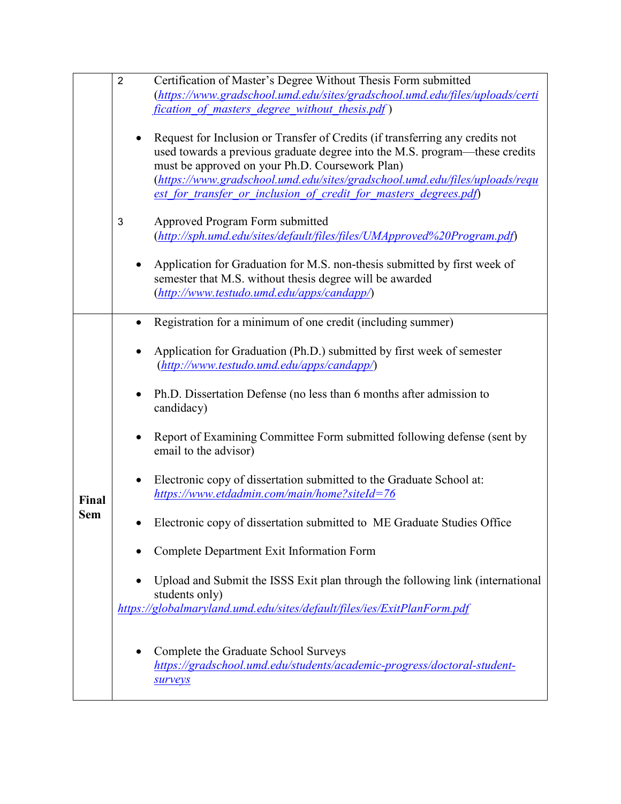|                     | $\overline{2}$ | Certification of Master's Degree Without Thesis Form submitted<br>(https://www.gradschool.umd.edu/sites/gradschool.umd.edu/files/uploads/certi<br>fication of masters degree without thesis.pdf)                                                                                                                                                                   |
|---------------------|----------------|--------------------------------------------------------------------------------------------------------------------------------------------------------------------------------------------------------------------------------------------------------------------------------------------------------------------------------------------------------------------|
|                     | ٠              | Request for Inclusion or Transfer of Credits (if transferring any credits not<br>used towards a previous graduate degree into the M.S. program—these credits<br>must be approved on your Ph.D. Coursework Plan)<br>(https://www.gradschool.umd.edu/sites/gradschool.umd.edu/files/uploads/requ<br>est for transfer or inclusion of credit for masters degrees.pdf) |
|                     | 3              | Approved Program Form submitted<br>(http://sph.umd.edu/sites/default/files/files/UMApproved%20Program.pdf)                                                                                                                                                                                                                                                         |
|                     |                | Application for Graduation for M.S. non-thesis submitted by first week of<br>semester that M.S. without thesis degree will be awarded<br>(http://www.testudo.umd.edu/apps/candapp/)                                                                                                                                                                                |
| Final<br><b>Sem</b> | ٠              | Registration for a minimum of one credit (including summer)                                                                                                                                                                                                                                                                                                        |
|                     |                | Application for Graduation (Ph.D.) submitted by first week of semester<br>(http://www.testudo.umd.edu/apps/candapp/)                                                                                                                                                                                                                                               |
|                     | ٠              | Ph.D. Dissertation Defense (no less than 6 months after admission to<br>candidacy)                                                                                                                                                                                                                                                                                 |
|                     |                | Report of Examining Committee Form submitted following defense (sent by<br>email to the advisor)                                                                                                                                                                                                                                                                   |
|                     |                | Electronic copy of dissertation submitted to the Graduate School at:<br>https://www.etdadmin.com/main/home?siteId=76                                                                                                                                                                                                                                               |
|                     |                | Electronic copy of dissertation submitted to ME Graduate Studies Office                                                                                                                                                                                                                                                                                            |
|                     |                | Complete Department Exit Information Form                                                                                                                                                                                                                                                                                                                          |
|                     |                | Upload and Submit the ISSS Exit plan through the following link (international<br>students only)                                                                                                                                                                                                                                                                   |
|                     |                | https://globalmaryland.umd.edu/sites/default/files/ies/ExitPlanForm.pdf                                                                                                                                                                                                                                                                                            |
|                     | ٠              | Complete the Graduate School Surveys<br>https://gradschool.umd.edu/students/academic-progress/doctoral-student-<br><b>Surveys</b>                                                                                                                                                                                                                                  |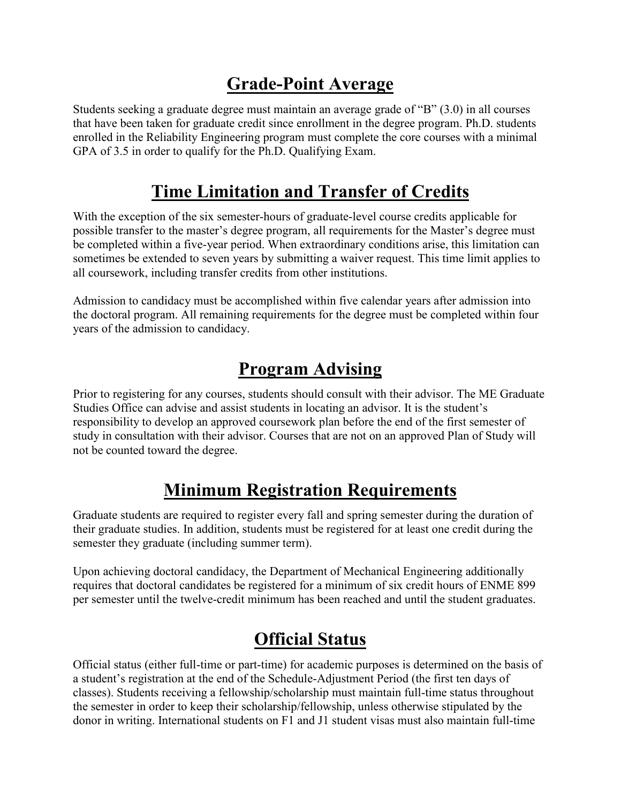### **Grade-Point Average**

Students seeking a graduate degree must maintain an average grade of "B" (3.0) in all courses that have been taken for graduate credit since enrollment in the degree program. Ph.D. students enrolled in the Reliability Engineering program must complete the core courses with a minimal GPA of 3.5 in order to qualify for the Ph.D. Qualifying Exam.

#### **Time Limitation and Transfer of Credits**

With the exception of the six semester-hours of graduate-level course credits applicable for possible transfer to the master's degree program, all requirements for the Master's degree must be completed within a five-year period. When extraordinary conditions arise, this limitation can sometimes be extended to seven years by submitting a waiver request. This time limit applies to all coursework, including transfer credits from other institutions.

Admission to candidacy must be accomplished within five calendar years after admission into the doctoral program. All remaining requirements for the degree must be completed within four years of the admission to candidacy.

# **Program Advising**

Prior to registering for any courses, students should consult with their advisor. The ME Graduate Studies Office can advise and assist students in locating an advisor. It is the student's responsibility to develop an approved coursework plan before the end of the first semester of study in consultation with their advisor. Courses that are not on an approved Plan of Study will not be counted toward the degree.

## **Minimum Registration Requirements**

Graduate students are required to register every fall and spring semester during the duration of their graduate studies. In addition, students must be registered for at least one credit during the semester they graduate (including summer term).

Upon achieving doctoral candidacy, the Department of Mechanical Engineering additionally requires that doctoral candidates be registered for a minimum of six credit hours of ENME 899 per semester until the twelve-credit minimum has been reached and until the student graduates.

## **Official Status**

Official status (either full-time or part-time) for academic purposes is determined on the basis of a student's registration at the end of the Schedule-Adjustment Period (the first ten days of classes). Students receiving a fellowship/scholarship must maintain full-time status throughout the semester in order to keep their scholarship/fellowship, unless otherwise stipulated by the donor in writing. International students on F1 and J1 student visas must also maintain full-time